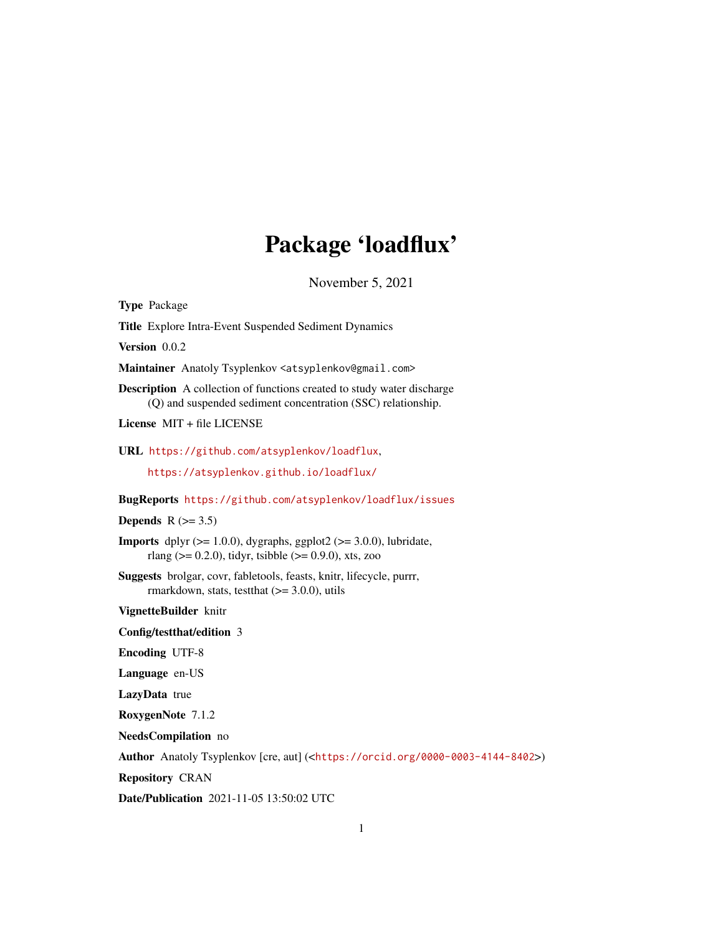## Package 'loadflux'

November 5, 2021

Type Package

Title Explore Intra-Event Suspended Sediment Dynamics

Version 0.0.2

Maintainer Anatoly Tsyplenkov <atsyplenkov@gmail.com>

Description A collection of functions created to study water discharge (Q) and suspended sediment concentration (SSC) relationship.

License MIT + file LICENSE

URL <https://github.com/atsyplenkov/loadflux>,

<https://atsyplenkov.github.io/loadflux/>

BugReports <https://github.com/atsyplenkov/loadflux/issues>

Depends  $R$  ( $>= 3.5$ )

**Imports** dplyr  $(>= 1.0.0)$ , dygraphs, ggplot2  $(>= 3.0.0)$ , lubridate, rlang ( $> = 0.2.0$ ), tidyr, tsibble ( $> = 0.9.0$ ), xts, zoo

Suggests brolgar, covr, fabletools, feasts, knitr, lifecycle, purrr, rmarkdown, stats, test that  $(>= 3.0.0)$ , utils

VignetteBuilder knitr

Config/testthat/edition 3

Encoding UTF-8

Language en-US

LazyData true

RoxygenNote 7.1.2

NeedsCompilation no

Author Anatoly Tsyplenkov [cre, aut] (<<https://orcid.org/0000-0003-4144-8402>>)

Repository CRAN

Date/Publication 2021-11-05 13:50:02 UTC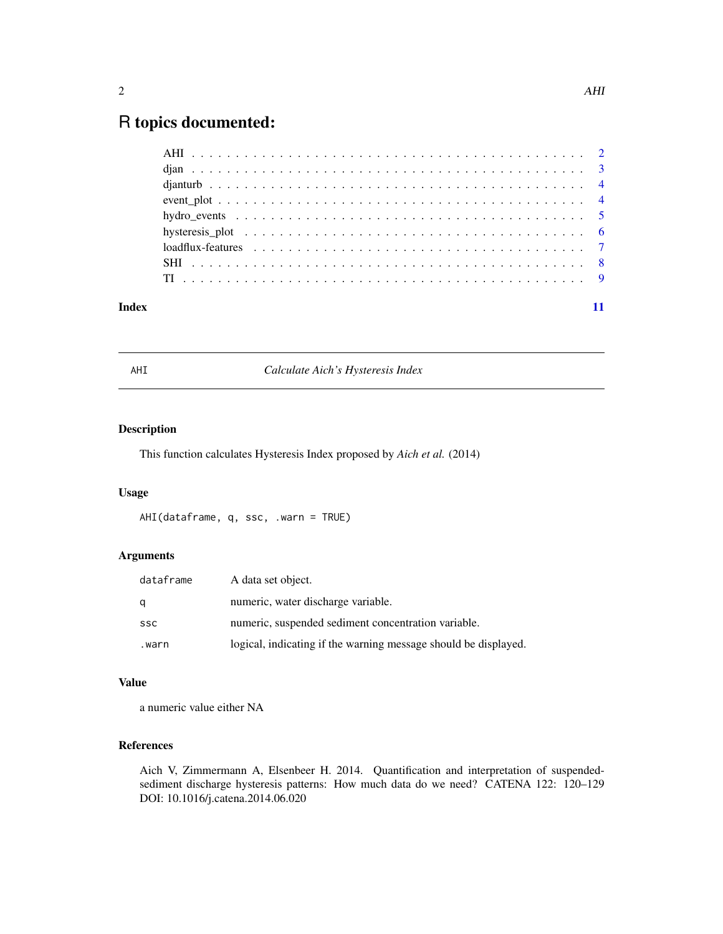### <span id="page-1-0"></span>R topics documented:

| Index |  |
|-------|--|

AHI *Calculate Aich's Hysteresis Index*

#### Description

This function calculates Hysteresis Index proposed by *Aich et al.* (2014)

#### Usage

AHI(dataframe, q, ssc, .warn = TRUE)

#### Arguments

| dataframe  | A data set object.                                              |
|------------|-----------------------------------------------------------------|
| q          | numeric, water discharge variable.                              |
| <b>SSC</b> | numeric, suspended sediment concentration variable.             |
| warn.      | logical, indicating if the warning message should be displayed. |

#### Value

a numeric value either NA

#### References

Aich V, Zimmermann A, Elsenbeer H. 2014. Quantification and interpretation of suspendedsediment discharge hysteresis patterns: How much data do we need? CATENA 122: 120–129 DOI: 10.1016/j.catena.2014.06.020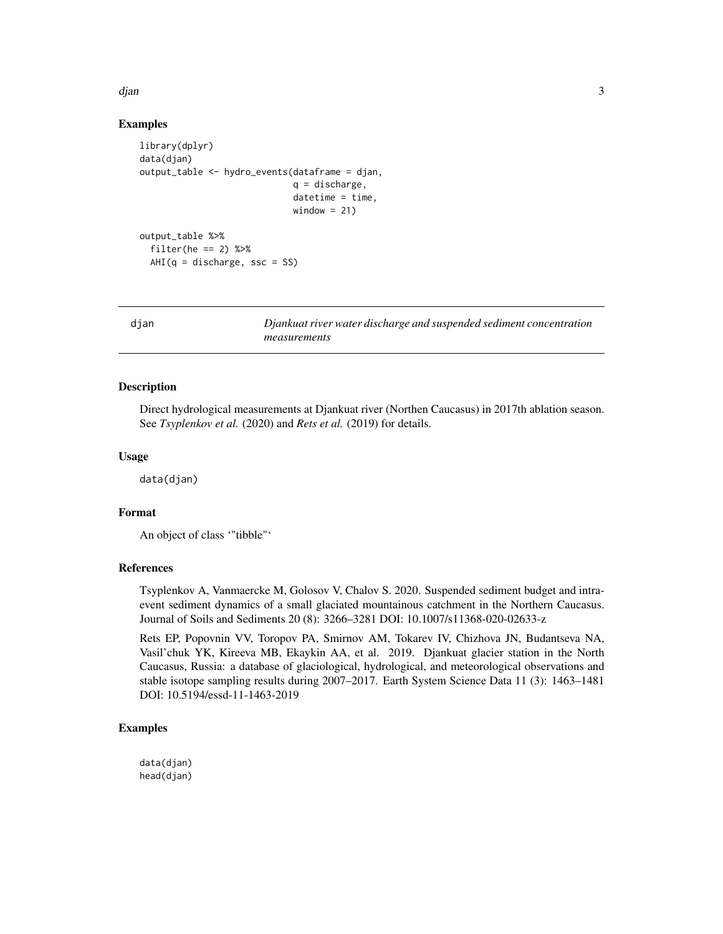<span id="page-2-0"></span>djan 3

#### Examples

```
library(dplyr)
data(djan)
output_table <- hydro_events(dataframe = djan,
                            q = discharge,
                            datetime = time,
                            window = 21)output_table %>%
 filter(he == 2) %AHI(q = discharge, ssc = SS)
```
djan *Djankuat river water discharge and suspended sediment concentration measurements*

#### Description

Direct hydrological measurements at Djankuat river (Northen Caucasus) in 2017th ablation season. See *Tsyplenkov et al.* (2020) and *Rets et al.* (2019) for details.

#### Usage

data(djan)

#### Format

An object of class '"tibble"'

#### References

Tsyplenkov A, Vanmaercke M, Golosov V, Chalov S. 2020. Suspended sediment budget and intraevent sediment dynamics of a small glaciated mountainous catchment in the Northern Caucasus. Journal of Soils and Sediments 20 (8): 3266–3281 DOI: 10.1007/s11368-020-02633-z

Rets EP, Popovnin VV, Toropov PA, Smirnov AM, Tokarev IV, Chizhova JN, Budantseva NA, Vasil'chuk YK, Kireeva MB, Ekaykin AA, et al. 2019. Djankuat glacier station in the North Caucasus, Russia: a database of glaciological, hydrological, and meteorological observations and stable isotope sampling results during 2007–2017. Earth System Science Data 11 (3): 1463–1481 DOI: 10.5194/essd-11-1463-2019

#### Examples

data(djan) head(djan)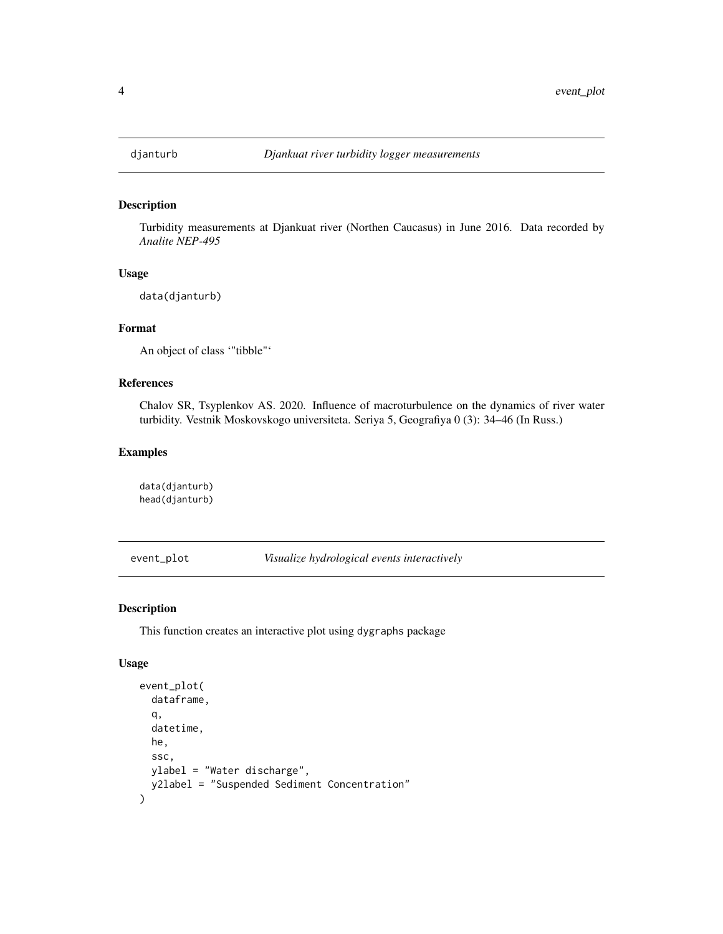<span id="page-3-0"></span>

#### Description

Turbidity measurements at Djankuat river (Northen Caucasus) in June 2016. Data recorded by *Analite NEP-495*

#### Usage

data(djanturb)

#### Format

An object of class '"tibble"'

#### References

Chalov SR, Tsyplenkov AS. 2020. Influence of macroturbulence on the dynamics of river water turbidity. Vestnik Moskovskogo universiteta. Seriya 5, Geografiya 0 (3): 34–46 (In Russ.)

#### Examples

data(djanturb) head(djanturb)

event\_plot *Visualize hydrological events interactively*

#### Description

This function creates an interactive plot using dygraphs package

#### Usage

```
event_plot(
  dataframe,
  q,
  datetime,
  he,
  ssc,
  ylabel = "Water discharge",
  y2label = "Suspended Sediment Concentration"
\mathcal{E}
```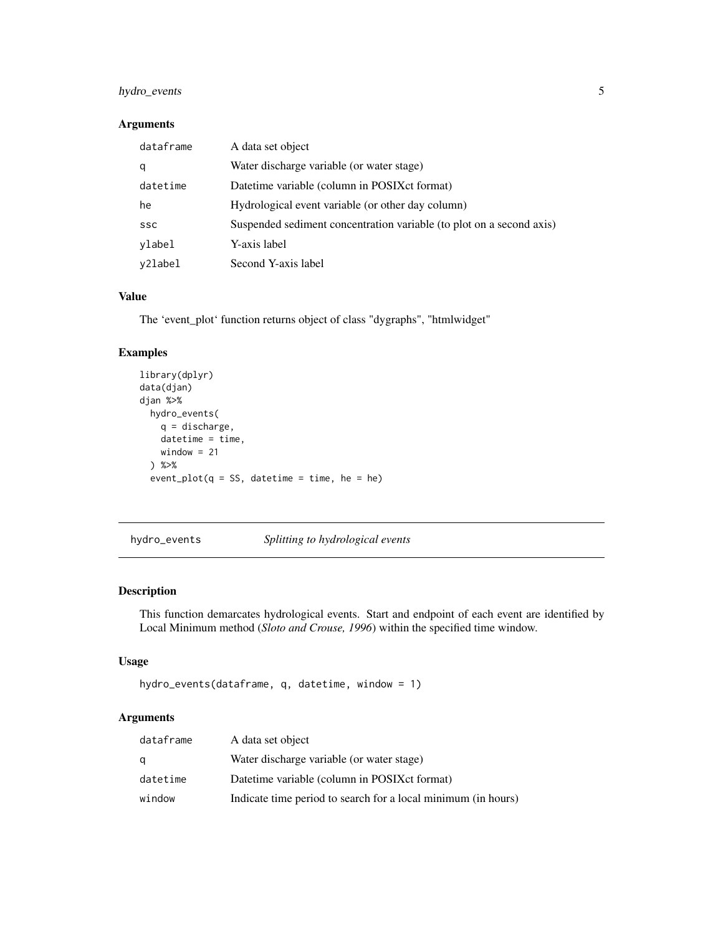#### <span id="page-4-0"></span>hydro\_events 5

#### Arguments

| dataframe  | A data set object                                                    |
|------------|----------------------------------------------------------------------|
| q          | Water discharge variable (or water stage)                            |
| datetime   | Datetime variable (column in POSIXct format)                         |
| he         | Hydrological event variable (or other day column)                    |
| <b>SSC</b> | Suspended sediment concentration variable (to plot on a second axis) |
| ylabel     | Y-axis label                                                         |
| y2label    | Second Y-axis label                                                  |

#### Value

The 'event\_plot' function returns object of class "dygraphs", "htmlwidget"

#### Examples

```
library(dplyr)
data(djan)
djan %>%
 hydro_events(
   q = discharge,
   datetime = time,
   window = 21) %>%
  event\_plot(q = SS, datetime = time, he = he)
```
hydro\_events *Splitting to hydrological events*

#### Description

This function demarcates hydrological events. Start and endpoint of each event are identified by Local Minimum method (*Sloto and Crouse, 1996*) within the specified time window.

#### Usage

```
hydro_events(dataframe, q, datetime, window = 1)
```
#### Arguments

| dataframe | A data set object                                             |
|-----------|---------------------------------------------------------------|
| a         | Water discharge variable (or water stage)                     |
| datetime  | Datetime variable (column in POSIX ct format)                 |
| window    | Indicate time period to search for a local minimum (in hours) |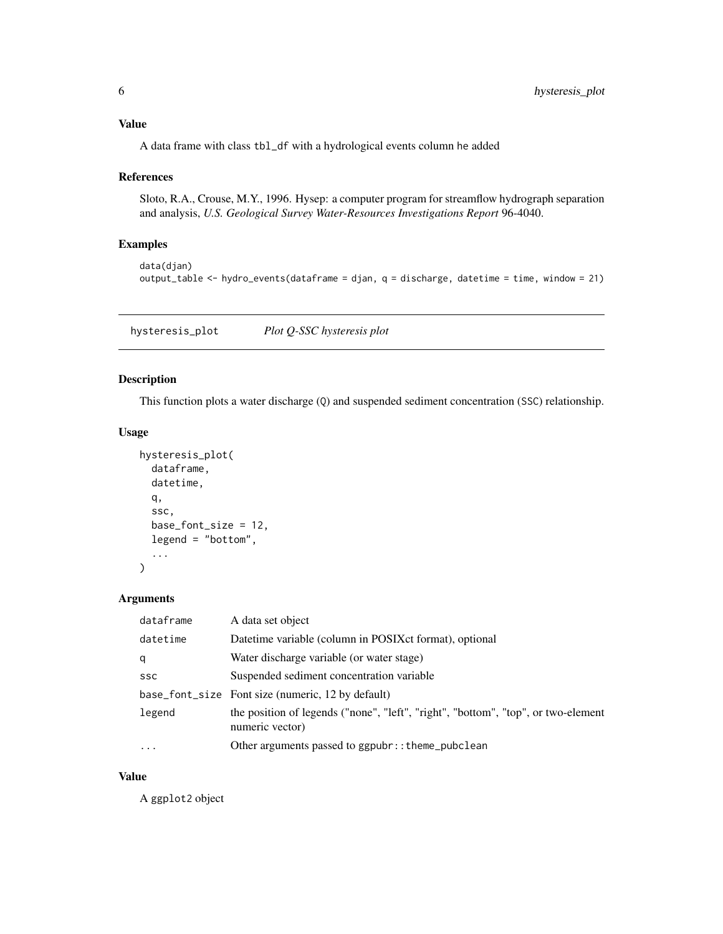#### <span id="page-5-0"></span>Value

A data frame with class tbl\_df with a hydrological events column he added

#### References

Sloto, R.A., Crouse, M.Y., 1996. Hysep: a computer program for streamflow hydrograph separation and analysis, *U.S. Geological Survey Water-Resources Investigations Report* 96-4040.

#### Examples

```
data(djan)
output_table <- hydro_events(dataframe = djan, q = discharge, datetime = time, window = 21)
```
hysteresis\_plot *Plot Q-SSC hysteresis plot*

#### Description

This function plots a water discharge (Q) and suspended sediment concentration (SSC) relationship.

#### Usage

```
hysteresis_plot(
  dataframe,
  datetime,
  q,
  ssc,
 base_font_size = 12,
  legend = "bottom",
  ...
)
```
#### Arguments

| dataframe  | A data set object                                                                                    |
|------------|------------------------------------------------------------------------------------------------------|
| datetime   | Datetime variable (column in POSIX ct format), optional                                              |
| q          | Water discharge variable (or water stage)                                                            |
| <b>SSC</b> | Suspended sediment concentration variable                                                            |
|            | base_font_size Font size (numeric, 12 by default)                                                    |
| legend     | the position of legends ("none", "left", "right", "bottom", "top", or two-element<br>numeric vector) |
| $\cdot$    | Other arguments passed to ggpubr:: theme_pubclean                                                    |

#### Value

A ggplot2 object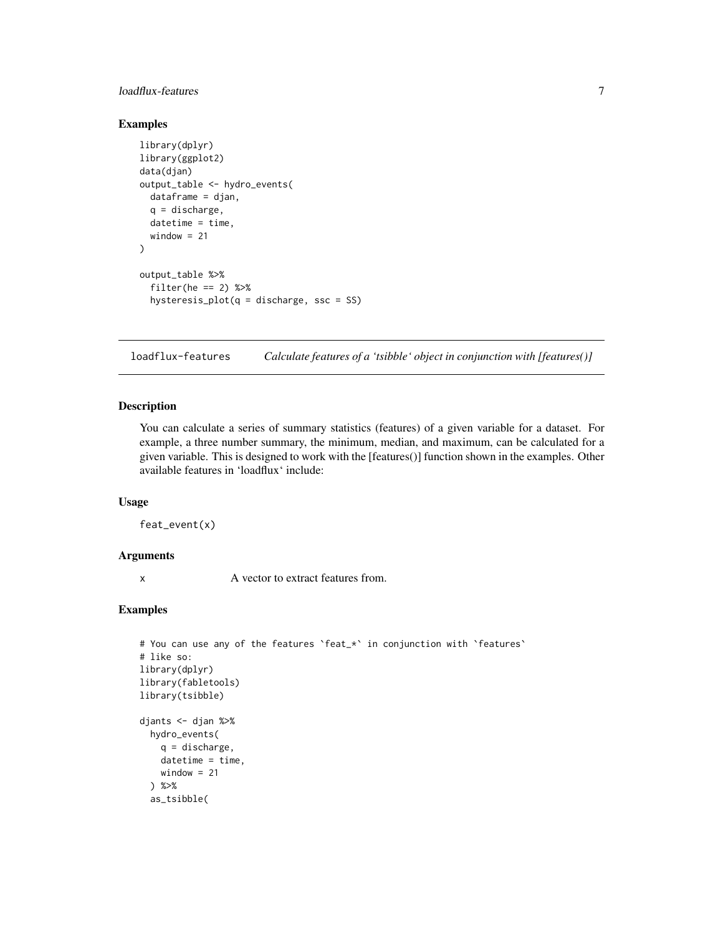#### <span id="page-6-0"></span>loadflux-features 7

#### Examples

```
library(dplyr)
library(ggplot2)
data(djan)
output_table <- hydro_events(
  dataframe = djan,
  q = discharge,
  datetime = time,
  window = 21)
output_table %>%
  filter(he == 2) %hysteresis_plot(q = discharge, ssc = SS)
```
loadflux-features *Calculate features of a 'tsibble' object in conjunction with [features()]*

#### Description

You can calculate a series of summary statistics (features) of a given variable for a dataset. For example, a three number summary, the minimum, median, and maximum, can be calculated for a given variable. This is designed to work with the [features()] function shown in the examples. Other available features in 'loadflux' include:

#### Usage

feat\_event(x)

#### Arguments

x A vector to extract features from.

#### Examples

```
# You can use any of the features `feat_*` in conjunction with `features`
# like so:
library(dplyr)
library(fabletools)
library(tsibble)
djants <- djan %>%
  hydro_events(
   q = discharge,
    datetime = time,
   window = 21) %>%
  as_tsibble(
```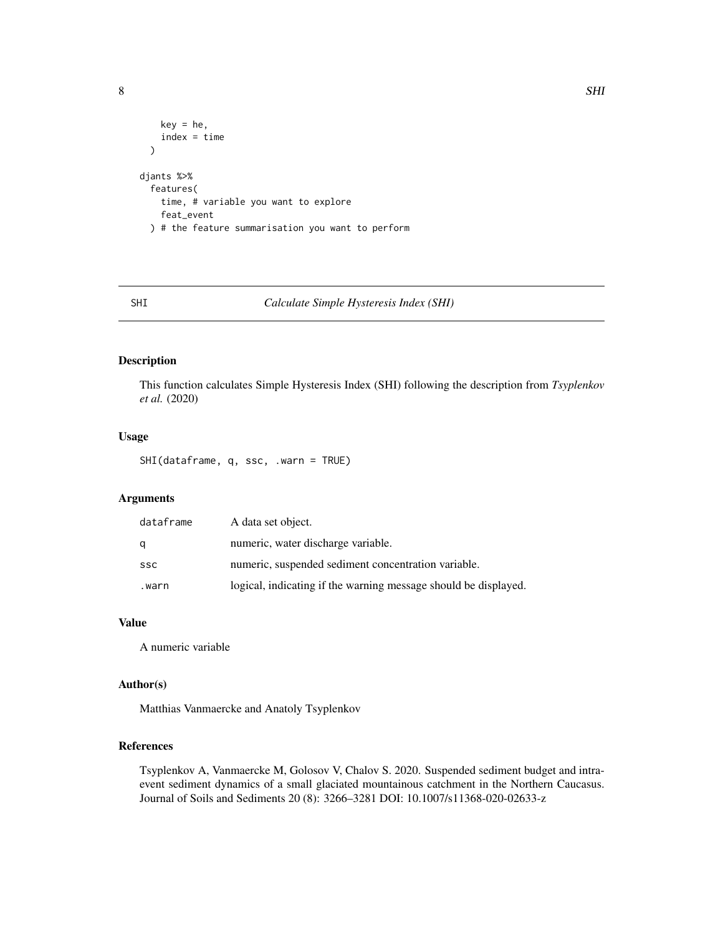```
key = he,index = time
 )
djants %>%
 features(
   time, # variable you want to explore
   feat_event
 ) # the feature summarisation you want to perform
```
#### SHI *Calculate Simple Hysteresis Index (SHI)*

#### Description

This function calculates Simple Hysteresis Index (SHI) following the description from *Tsyplenkov et al.* (2020)

#### Usage

SHI(dataframe, q, ssc, .warn = TRUE)

#### Arguments

| dataframe | A data set object.                                              |
|-----------|-----------------------------------------------------------------|
|           | numeric, water discharge variable.                              |
| ssc       | numeric, suspended sediment concentration variable.             |
| .warn     | logical, indicating if the warning message should be displayed. |

#### Value

A numeric variable

#### Author(s)

Matthias Vanmaercke and Anatoly Tsyplenkov

#### References

Tsyplenkov A, Vanmaercke M, Golosov V, Chalov S. 2020. Suspended sediment budget and intraevent sediment dynamics of a small glaciated mountainous catchment in the Northern Caucasus. Journal of Soils and Sediments 20 (8): 3266–3281 DOI: 10.1007/s11368-020-02633-z

<span id="page-7-0"></span>8 SHI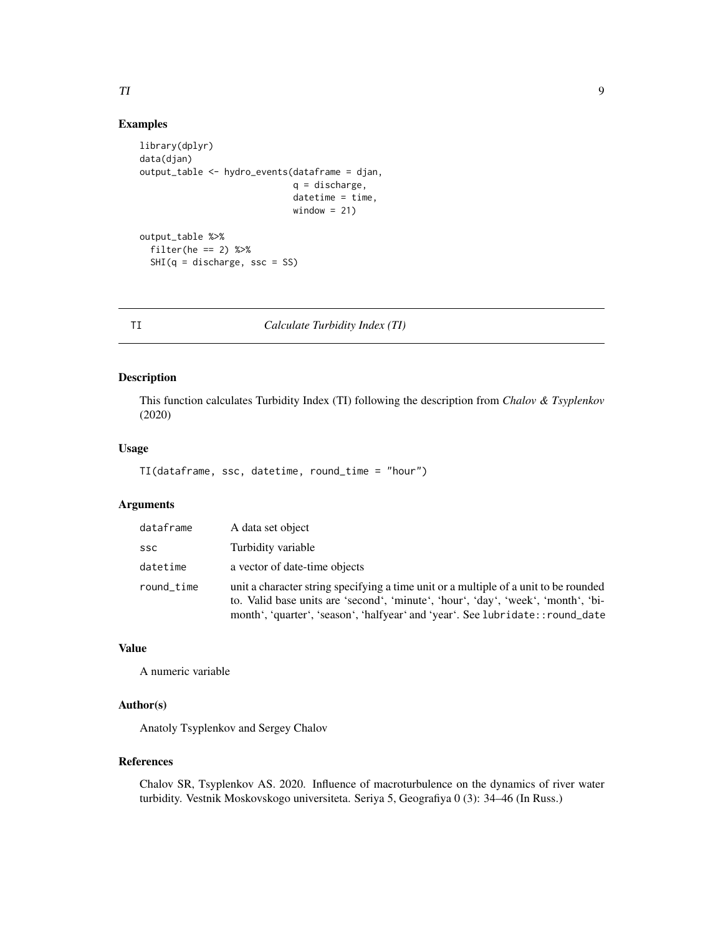#### <span id="page-8-0"></span>TI 99

#### Examples

```
library(dplyr)
data(djan)
output_table <- hydro_events(dataframe = djan,
                             q = discharge,
                             \text{d}atetime = time,
                             window = 21)output_table %>%
  filter(he == 2) %SHI(q = discharge, ssc = SS)
```
#### TI *Calculate Turbidity Index (TI)*

#### Description

This function calculates Turbidity Index (TI) following the description from *Chalov & Tsyplenkov* (2020)

#### Usage

TI(dataframe, ssc, datetime, round\_time = "hour")

#### Arguments

| dataframe  | A data set object                                                                                                                                                                                                                                           |
|------------|-------------------------------------------------------------------------------------------------------------------------------------------------------------------------------------------------------------------------------------------------------------|
| <b>SSC</b> | Turbidity variable                                                                                                                                                                                                                                          |
| datetime   | a vector of date-time objects                                                                                                                                                                                                                               |
| round_time | unit a character string specifying a time unit or a multiple of a unit to be rounded<br>to. Valid base units are 'second', 'minute', 'hour', 'day', 'week', 'month', 'bi-<br>month', 'quarter', 'season', 'halfyear' and 'year'. See lubridate:: round_date |

#### Value

A numeric variable

#### Author(s)

Anatoly Tsyplenkov and Sergey Chalov

#### References

Chalov SR, Tsyplenkov AS. 2020. Influence of macroturbulence on the dynamics of river water turbidity. Vestnik Moskovskogo universiteta. Seriya 5, Geografiya 0 (3): 34–46 (In Russ.)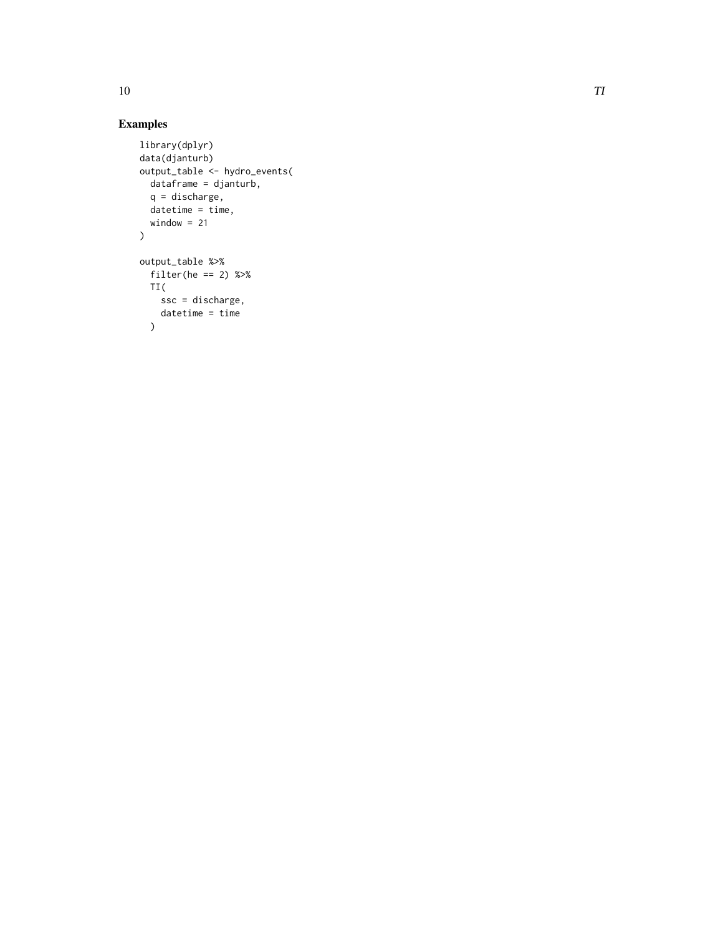#### Examples

```
library(dplyr)
data(djanturb)
output_table <- hydro_events(
 dataframe = djanturb,
 q = discharge,
 datetime = time,
  window = 21\overline{\phantom{a}}output_table %>%
  filter(he == 2) %TI(
   ssc = discharge,
    datetime = time
  )
```